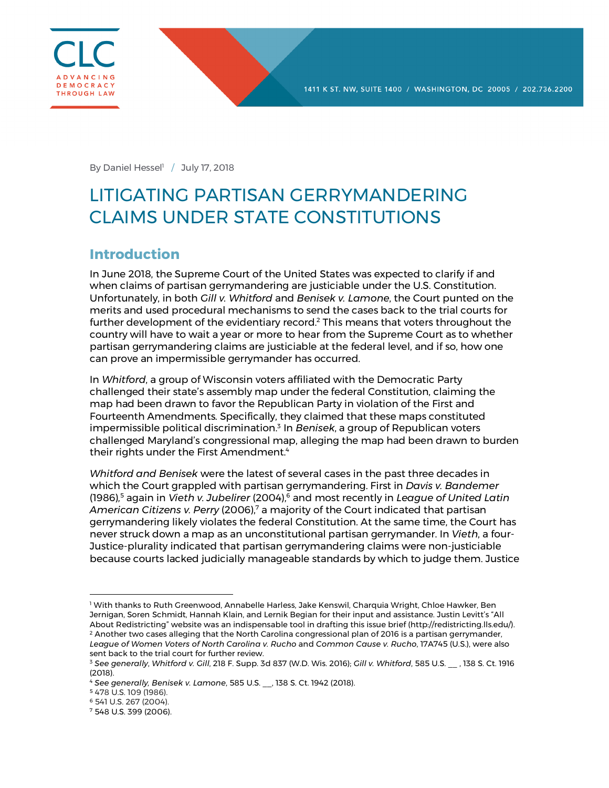

By Daniel Hessel<sup>1</sup> / July 17, 2018

# LITIGATING PARTISAN GERRYMANDERING CLAIMS UNDER STATE CONSTITUTIONS

### **Introduction**

In June 2018, the Supreme Court of the United States was expected to clarify if and when claims of partisan gerrymandering are justiciable under the U.S. Constitution. Unfortunately, in both *Gill v. Whitford* and *Benisek v. Lamone*, the Court punted on the merits and used procedural mechanisms to send the cases back to the trial courts for further development of the evidentiary record.<sup>2</sup> This means that voters throughout the country will have to wait a year or more to hear from the Supreme Court as to whether partisan gerrymandering claims are justiciable at the federal level, and if so, how one can prove an impermissible gerrymander has occurred.

In *Whitford*, a group of Wisconsin voters affiliated with the Democratic Party challenged their state's assembly map under the federal Constitution, claiming the map had been drawn to favor the Republican Party in violation of the First and Fourteenth Amendments. Specifically, they claimed that these maps constituted impermissible political discrimination.3 In *Benisek*, a group of Republican voters challenged Maryland's congressional map, alleging the map had been drawn to burden their rights under the First Amendment.<sup>4</sup>

*Whitford and Benisek* were the latest of several cases in the past three decades in which the Court grappled with partisan gerrymandering. First in *Davis v. Bandemer* (1986)*,* <sup>5</sup> again in *Vieth v. Jubelirer* (2004),6 and most recently in *League of United Latin*  American Citizens v. Perry (2006),<sup>7</sup> a majority of the Court indicated that partisan gerrymandering likely violates the federal Constitution. At the same time, the Court has never struck down a map as an unconstitutional partisan gerrymander. In *Vieth*, a four-Justice-plurality indicated that partisan gerrymandering claims were non-justiciable because courts lacked judicially manageable standards by which to judge them. Justice

<sup>1</sup> With thanks to Ruth Greenwood, Annabelle Harless, Jake Kenswil, Charquia Wright, Chloe Hawker, Ben Jernigan, Soren Schmidt, Hannah Klain, and Lernik Begian for their input and assistance. Justin Levitt's "All About Redistricting" website was an indispensable tool in drafting this issue brief (http://redistricting.lls.edu/).<br><sup>2</sup> Another two cases alleging that the North Carolina congressional plan of 2016 is a partisan gerryman *League of Women Voters of North Carolina v. Rucho* and *Common Cause v. Rucho*, 17A745 (U.S.), were also

sent back to the trial court for further review. <sup>3</sup> *See generally*, *Whitford v. Gill*, 218 F. Supp. 3d 837 (W.D. Wis. 2016); *Gill v. Whitford*, 585 U.S. \_\_ , 138 S. Ct. 1916

<sup>(2018).</sup>

<sup>4</sup> *See generally, Benisek v. Lamone*, 585 U.S. \_\_, 138 S. Ct. 1942 (2018).

<sup>5</sup> 478 U.S. 109 (1986).

<sup>6</sup> 541 U.S. 267 (2004).

<sup>7</sup> 548 U.S. 399 (2006).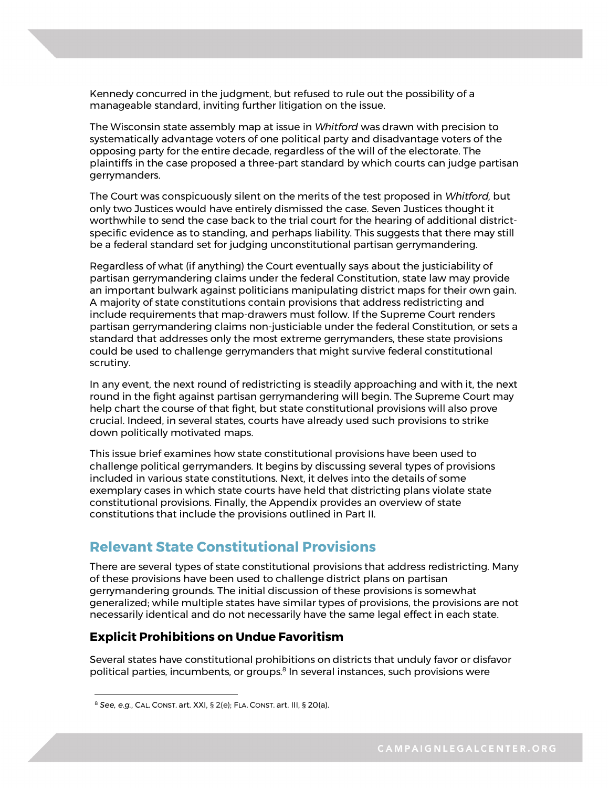Kennedy concurred in the judgment, but refused to rule out the possibility of a manageable standard, inviting further litigation on the issue.

The Wisconsin state assembly map at issue in *Whitford* was drawn with precision to systematically advantage voters of one political party and disadvantage voters of the opposing party for the entire decade, regardless of the will of the electorate. The plaintiffs in the case proposed a three-part standard by which courts can judge partisan gerrymanders.

The Court was conspicuously silent on the merits of the test proposed in *Whitford,* but only two Justices would have entirely dismissed the case. Seven Justices thought it worthwhile to send the case back to the trial court for the hearing of additional districtspecific evidence as to standing, and perhaps liability. This suggests that there may still be a federal standard set for judging unconstitutional partisan gerrymandering.

Regardless of what (if anything) the Court eventually says about the justiciability of partisan gerrymandering claims under the federal Constitution, state law may provide an important bulwark against politicians manipulating district maps for their own gain. A majority of state constitutions contain provisions that address redistricting and include requirements that map-drawers must follow. If the Supreme Court renders partisan gerrymandering claims non-justiciable under the federal Constitution, or sets a standard that addresses only the most extreme gerrymanders, these state provisions could be used to challenge gerrymanders that might survive federal constitutional scrutiny.

In any event, the next round of redistricting is steadily approaching and with it, the next round in the fight against partisan gerrymandering will begin. The Supreme Court may help chart the course of that fight, but state constitutional provisions will also prove crucial. Indeed, in several states, courts have already used such provisions to strike down politically motivated maps.

This issue brief examines how state constitutional provisions have been used to challenge political gerrymanders. It begins by discussing several types of provisions included in various state constitutions. Next, it delves into the details of some exemplary cases in which state courts have held that districting plans violate state constitutional provisions. Finally, the Appendix provides an overview of state constitutions that include the provisions outlined in Part II.

### **Relevant State Constitutional Provisions**

There are several types of state constitutional provisions that address redistricting. Many of these provisions have been used to challenge district plans on partisan gerrymandering grounds. The initial discussion of these provisions is somewhat generalized; while multiple states have similar types of provisions, the provisions are not necessarily identical and do not necessarily have the same legal effect in each state.

### **Explicit Prohibitions on Undue Favoritism**

Several states have constitutional prohibitions on districts that unduly favor or disfavor political parties, incumbents, or groups.<sup>8</sup> In several instances, such provisions were

<sup>8</sup> *See, e.g.*, CAL. CONST. art. XXI, § 2(e); FLA. CONST. art. III, § 20(a).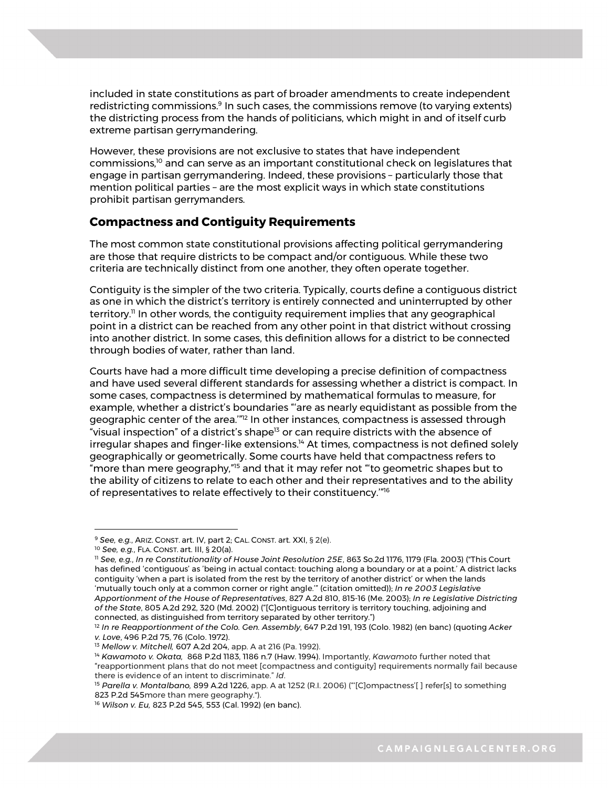included in state constitutions as part of broader amendments to create independent redistricting commissions.<sup>9</sup> In such cases, the commissions remove (to varying extents) the districting process from the hands of politicians, which might in and of itself curb extreme partisan gerrymandering.

However, these provisions are not exclusive to states that have independent commissions,10 and can serve as an important constitutional check on legislatures that engage in partisan gerrymandering. Indeed, these provisions – particularly those that mention political parties – are the most explicit ways in which state constitutions prohibit partisan gerrymanders.

### **Compactness and Contiguity Requirements**

The most common state constitutional provisions affecting political gerrymandering are those that require districts to be compact and/or contiguous. While these two criteria are technically distinct from one another, they often operate together.

Contiguity is the simpler of the two criteria. Typically, courts define a contiguous district as one in which the district's territory is entirely connected and uninterrupted by other territory.<sup> $\text{II}$ </sup> In other words, the contiguity requirement implies that any geographical point in a district can be reached from any other point in that district without crossing into another district. In some cases, this definition allows for a district to be connected through bodies of water, rather than land.

Courts have had a more difficult time developing a precise definition of compactness and have used several different standards for assessing whether a district is compact. In some cases, compactness is determined by mathematical formulas to measure, for example, whether a district's boundaries "'are as nearly equidistant as possible from the geographic center of the area."<sup>12</sup> In other instances, compactness is assessed through "visual inspection" of a district's shape<sup>13</sup> or can require districts with the absence of irregular shapes and finger-like extensions.<sup>14</sup> At times, compactness is not defined solely geographically or geometrically. Some courts have held that compactness refers to "more than mere geography,"<sup>15</sup> and that it may refer not "'to geometric shapes but to the ability of citizens to relate to each other and their representatives and to the ability of representatives to relate effectively to their constituency.'"16

<sup>9</sup> *See, e.g.*, ARIZ. CONST. art. IV, part 2; CAL. CONST. art. XXI, § 2(e).

<sup>10</sup> *See, e.g.*, FLA. CONST. art. III, § 20(a).

<sup>11</sup> *See, e.g.*, *In re Constitutionality of House Joint Resolution 25E*, 863 So.2d 1176, 1179 (Fla. 2003) ("This Court has defined 'contiguous' as 'being in actual contact: touching along a boundary or at a point.' A district lacks contiguity 'when a part is isolated from the rest by the territory of another district' or when the lands 'mutually touch only at a common corner or right angle.'" (citation omitted)); *In re 2003 Legislative Apportionment of the House of Representatives*, 827 A.2d 810, 815-16 (Me. 2003); *In re Legislative Districting of the State*, 805 A.2d 292, 320 (Md. 2002) ("[C]ontiguous territory is territory touching, adjoining and connected, as distinguished from territory separated by other territory.")

<sup>12</sup> *In re Reapportionment of the Colo. Gen. Assembly*, 647 P.2d 191, 193 (Colo. 1982) (en banc) (quoting *Acker v. Love*, 496 P.2d 75, 76 (Colo. 1972).

<sup>13</sup> *Mellow v. Mitchell,* 607 A.2d 204, app. A at 216 (Pa. 1992).

<sup>14</sup> *Kawamoto v. Okata,* 868 P.2d 1183, 1186 n.7 (Haw. 1994). Importantly, *Kawamoto* further noted that "reapportionment plans that do not meet [compactness and contiguity] requirements normally fail because there is evidence of an intent to discriminate." *Id*.

<sup>&</sup>lt;sup>15</sup> Parella v. Montalbano, 899 A.2d 1226, app. A at 1252 (R.I. 2006) ("[C]ompactness'[] refer[s] to something 823 P.2d 545more than mere geography.").

<sup>16</sup> *Wilson v. Eu,* 823 P.2d 545, 553 (Cal. 1992) (en banc).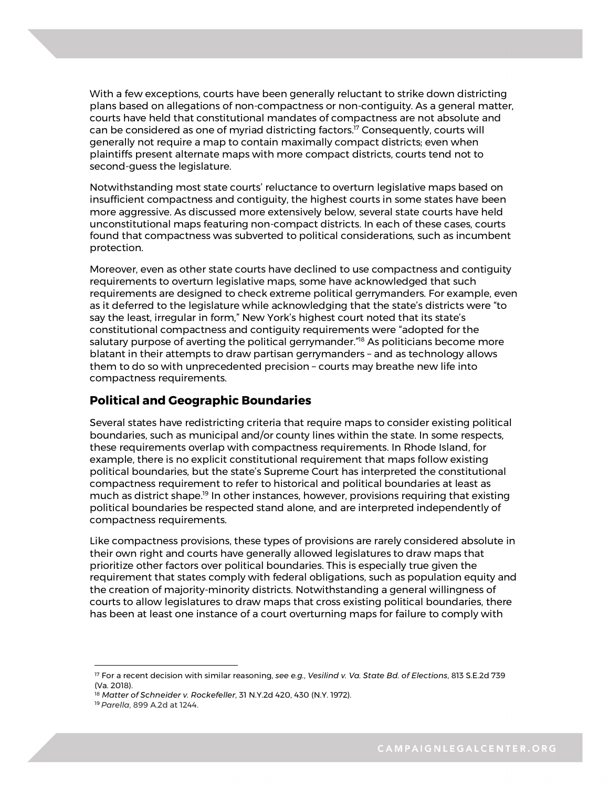With a few exceptions, courts have been generally reluctant to strike down districting plans based on allegations of non-compactness or non-contiguity. As a general matter, courts have held that constitutional mandates of compactness are not absolute and can be considered as one of myriad districting factors.<sup>17</sup> Consequently, courts will generally not require a map to contain maximally compact districts; even when plaintiffs present alternate maps with more compact districts, courts tend not to second-guess the legislature.

Notwithstanding most state courts' reluctance to overturn legislative maps based on insufficient compactness and contiguity, the highest courts in some states have been more aggressive. As discussed more extensively below, several state courts have held unconstitutional maps featuring non-compact districts. In each of these cases, courts found that compactness was subverted to political considerations, such as incumbent protection.

Moreover, even as other state courts have declined to use compactness and contiguity requirements to overturn legislative maps, some have acknowledged that such requirements are designed to check extreme political gerrymanders. For example, even as it deferred to the legislature while acknowledging that the state's districts were "to say the least, irregular in form," New York's highest court noted that its state's constitutional compactness and contiguity requirements were "adopted for the salutary purpose of averting the political gerrymander.<sup>"18</sup> As politicians become more blatant in their attempts to draw partisan gerrymanders – and as technology allows them to do so with unprecedented precision – courts may breathe new life into compactness requirements.

### **Political and Geographic Boundaries**

Several states have redistricting criteria that require maps to consider existing political boundaries, such as municipal and/or county lines within the state. In some respects, these requirements overlap with compactness requirements. In Rhode Island, for example, there is no explicit constitutional requirement that maps follow existing political boundaries, but the state's Supreme Court has interpreted the constitutional compactness requirement to refer to historical and political boundaries at least as much as district shape.19 In other instances, however, provisions requiring that existing political boundaries be respected stand alone, and are interpreted independently of compactness requirements.

Like compactness provisions, these types of provisions are rarely considered absolute in their own right and courts have generally allowed legislatures to draw maps that prioritize other factors over political boundaries. This is especially true given the requirement that states comply with federal obligations, such as population equity and the creation of majority-minority districts. Notwithstanding a general willingness of courts to allow legislatures to draw maps that cross existing political boundaries, there has been at least one instance of a court overturning maps for failure to comply with

<sup>4</sup> (Va. 2018). <sup>17</sup> For a recent decision with similar reasoning, *see e.g.*, *Vesilind v. Va. State Bd. of Elections*, 813 S.E.2d 739

<sup>18</sup> *Matter of Schneider v. Rockefeller*, 31 N.Y.2d 420, 430 (N.Y. 1972).

<sup>19</sup> *Parella*, 899 A.2d at 1244.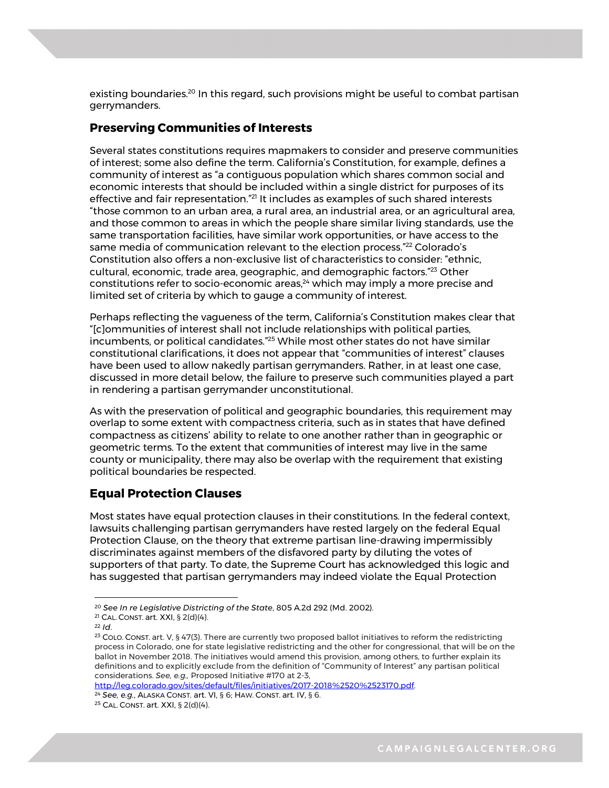existing boundaries.<sup>20</sup> In this regard, such provisions might be useful to combat partisan gerrymanders.

### **Preserving Communities of Interests**

Several states constitutions requires mapmakers to consider and preserve communities of interest; some also define the term. California's Constitution, for example, defines a community of interest as "a contiguous population which shares common social and economic interests that should be included within a single district for purposes of its effective and fair representation."<sup>21</sup> It includes as examples of such shared interests "those common to an urban area, a rural area, an industrial area, or an agricultural area, and those common to areas in which the people share similar living standards, use the same transportation facilities, have similar work opportunities, or have access to the same media of communication relevant to the election process."<sup>22</sup> Colorado's Constitution also offers a non-exclusive list of characteristics to consider: "ethnic, cultural, economic, trade area, geographic, and demographic factors."23 Other constitutions refer to socio-economic areas, $24$  which may imply a more precise and limited set of criteria by which to gauge a community of interest.

Perhaps reflecting the vagueness of the term, California's Constitution makes clear that "[c]ommunities of interest shall not include relationships with political parties, incumbents, or political candidates."<sup>25</sup> While most other states do not have similar constitutional clarifications, it does not appear that "communities of interest" clauses have been used to allow nakedly partisan gerrymanders. Rather, in at least one case, discussed in more detail below, the failure to preserve such communities played a part in rendering a partisan gerrymander unconstitutional.

As with the preservation of political and geographic boundaries, this requirement may overlap to some extent with compactness criteria, such as in states that have defined compactness as citizens' ability to relate to one another rather than in geographic or geometric terms. To the extent that communities of interest may live in the same county or municipality, there may also be overlap with the requirement that existing political boundaries be respected.

### **Equal Protection Clauses**

Most states have equal protection clauses in their constitutions. In the federal context, lawsuits challenging partisan gerrymanders have rested largely on the federal Equal Protection Clause, on the theory that extreme partisan line-drawing impermissibly discriminates against members of the disfavored party by diluting the votes of supporters of that party. To date, the Supreme Court has acknowledged this logic and has suggested that partisan gerrymanders may indeed violate the Equal Protection

 $\overline{a}$ 

5 http://leg.colorado.gov/sites/default/files/initiatives/2017-2018%2520%2523170.pdf. 24 *See, e.g.*, ALASKA CONST. art. VI, § 6; HAW. CONST. art. IV, § 6.

<sup>20</sup> *See In re Legislative Districting of the State*, 805 A.2d 292 (Md. 2002).

<sup>21</sup> CAL. CONST. art. XXI, § 2(d)(4).

<sup>22</sup> *Id*.

<sup>&</sup>lt;sup>23</sup> COLO. CONST. art. V, § 47(3). There are currently two proposed ballot initiatives to reform the redistricting process in Colorado, one for state legislative redistricting and the other for congressional, that will be on the ballot in November 2018. The initiatives would amend this provision, among others, to further explain its definitions and to explicitly exclude from the definition of "Community of Interest" any partisan political considerations. *See, e.g.,* Proposed Initiative #170 at 2-3,

<sup>25</sup> CAL. CONST. art. XXI, § 2(d)(4).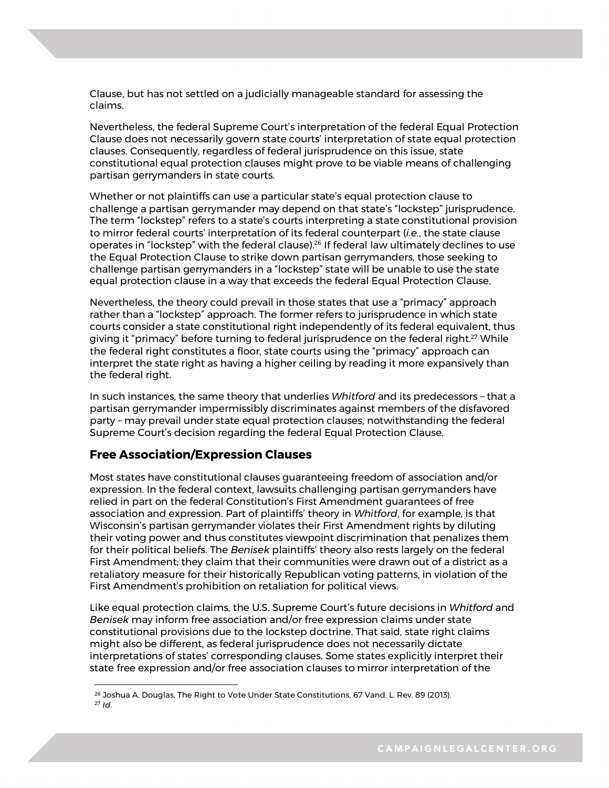Clause, but has not settled on a judicially manageable standard for assessing the claims.

Nevertheless, the federal Supreme Court's interpretation of the federal Equal Protection Clause does not necessarily govern state courts' interpretation of state equal protection clauses. Consequently, regardless of federal jurisprudence on this issue, state constitutional equal protection clauses might prove to be viable means of challenging partisan gerrymanders in state courts.

Whether or not plaintiffs can use a particular state's equal protection clause to challenge a partisan gerrymander may depend on that state's "lockstep" jurisprudence. The term "lockstep" refers to a state's courts interpreting a state constitutional provision to mirror federal courts' interpretation of its federal counterpart (*i.e.*, the state clause operates in "lockstep" with the federal clause).<sup>26</sup> If federal law ultimately declines to use the Equal Protection Clause to strike down partisan gerrymanders, those seeking to challenge partisan gerrymanders in a "lockstep" state will be unable to use the state equal protection clause in a way that exceeds the federal Equal Protection Clause.

Nevertheless, the theory could prevail in those states that use a "primacy" approach rather than a "lockstep" approach. The former refers to jurisprudence in which state courts consider a state constitutional right independently of its federal equivalent, thus giving it "primacy" before turning to federal jurisprudence on the federal right.<sup>27</sup> While the federal right constitutes a floor, state courts using the "primacy" approach can interpret the state right as having a higher ceiling by reading it more expansively than the federal right.

In such instances, the same theory that underlies *Whitford* and its predecessors – that a partisan gerrymander impermissibly discriminates against members of the disfavored party – may prevail under state equal protection clauses, notwithstanding the federal Supreme Court's decision regarding the federal Equal Protection Clause.

### **Free Association/Expression Clauses**

 $\overline{a}$ 

Most states have constitutional clauses guaranteeing freedom of association and/or expression. In the federal context, lawsuits challenging partisan gerrymanders have relied in part on the federal Constitution's First Amendment guarantees of free association and expression. Part of plaintiffs' theory in *Whitford*, for example, is that Wisconsin's partisan gerrymander violates their First Amendment rights by diluting their voting power and thus constitutes viewpoint discrimination that penalizes them for their political beliefs. The *Benisek* plaintiffs' theory also rests largely on the federal First Amendment; they claim that their communities were drawn out of a district as a retaliatory measure for their historically Republican voting patterns, in violation of the First Amendment's prohibition on retaliation for political views.

Like equal protection claims, the U.S. Supreme Court's future decisions in *Whitford* and *Benisek* may inform free association and/or free expression claims under state constitutional provisions due to the lockstep doctrine. That said, state right claims might also be different, as federal jurisprudence does not necessarily dictate interpretations of states' corresponding clauses. Some states explicitly interpret their state free expression and/or free association clauses to mirror interpretation of the

<sup>&</sup>lt;sup>26</sup> Joshua A. Douglas, The Right to Vote Under State Constitutions, 67 Vand. L. Rev. 89 (2013). <sup>27</sup> *Id*.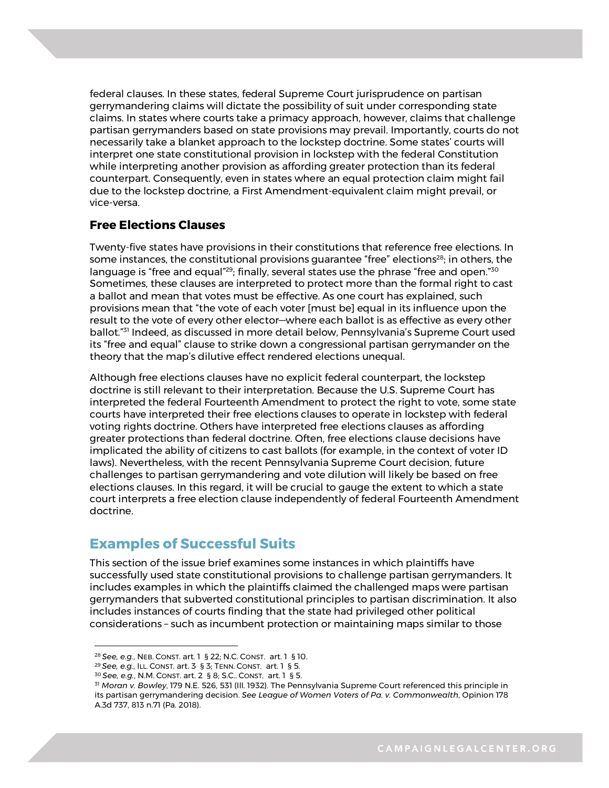federal clauses. In these states, federal Supreme Court jurisprudence on partisan gerrymandering claims will dictate the possibility of suit under corresponding state claims. In states where courts take a primacy approach, however, claims that challenge partisan gerrymanders based on state provisions may prevail. Importantly, courts do not necessarily take a blanket approach to the lockstep doctrine. Some states' courts will interpret one state constitutional provision in lockstep with the federal Constitution while interpreting another provision as affording greater protection than its federal counterpart. Consequently, even in states where an equal protection claim might fail due to the lockstep doctrine, a First Amendment-equivalent claim might prevail, or vice-versa.

### **Free Elections Clauses**

Twenty-five states have provisions in their constitutions that reference free elections. In some instances, the constitutional provisions quarantee "free" elections<sup>28</sup>; in others, the language is "free and equal"<sup>29</sup>; finally, several states use the phrase "free and open."<sup>30</sup> Sometimes, these clauses are interpreted to protect more than the formal right to cast a ballot and mean that votes must be effective. As one court has explained, such provisions mean that "the vote of each voter [must be] equal in its influence upon the result to the vote of every other elector—where each ballot is as effective as every other ballot."31 Indeed, as discussed in more detail below, Pennsylvania's Supreme Court used its "free and equal" clause to strike down a congressional partisan gerrymander on the theory that the map's dilutive effect rendered elections unequal.

Although free elections clauses have no explicit federal counterpart, the lockstep doctrine is still relevant to their interpretation. Because the U.S. Supreme Court has interpreted the federal Fourteenth Amendment to protect the right to vote, some state courts have interpreted their free elections clauses to operate in lockstep with federal voting rights doctrine. Others have interpreted free elections clauses as affording greater protections than federal doctrine. Often, free elections clause decisions have implicated the ability of citizens to cast ballots (for example, in the context of voter ID laws). Nevertheless, with the recent Pennsylvania Supreme Court decision, future challenges to partisan gerrymandering and vote dilution will likely be based on free elections clauses. In this regard, it will be crucial to gauge the extent to which a state court interprets a free election clause independently of federal Fourteenth Amendment doctrine.

### **Examples of Successful Suits**

This section of the issue brief examines some instances in which plaintiffs have successfully used state constitutional provisions to challenge partisan gerrymanders. It includes examples in which the plaintiffs claimed the challenged maps were partisan gerrymanders that subverted constitutional principles to partisan discrimination. It also includes instances of courts finding that the state had privileged other political considerations – such as incumbent protection or maintaining maps similar to those

<sup>28</sup> *See, e.g.*, NEB. CONST. art. 1 § 22; N.C. CONST. art. 1 § 10.

<sup>29</sup> *See, e.g.*, ILL. CONST. art. 3 § 3; TENN. CONST. art. 1 § 5.

<sup>30</sup> *See, e.g.*, N.M. CONST. art. 2 § 8; S.C.. CONST. art. 1 § 5.

<sup>7</sup> <sup>31</sup> *Moran v. Bowley*, 179 N.E. 526, 531 (Ill. 1932). The Pennsylvania Supreme Court referenced this principle in its partisan gerrymandering decision. *See League of Women Voters of Pa. v. Commonwealth*, Opinion 178 A.3d 737, 813 n.71 (Pa. 2018).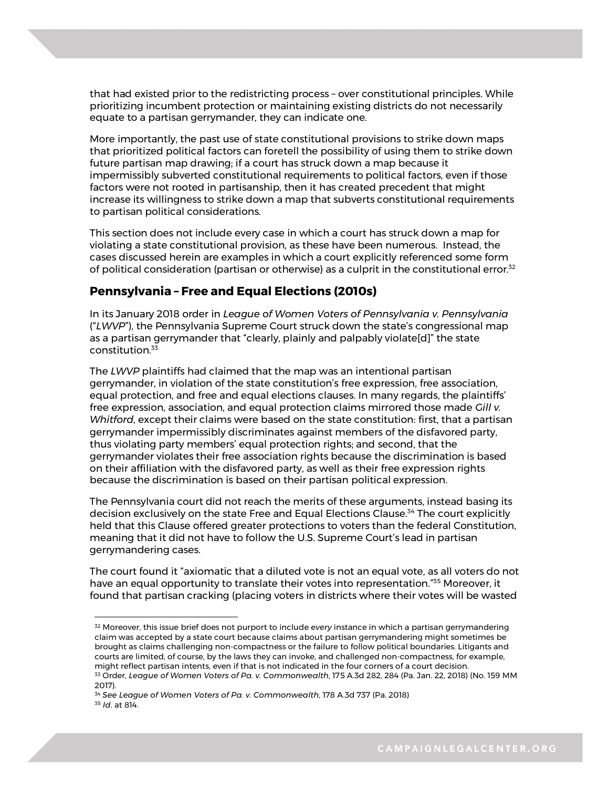that had existed prior to the redistricting process – over constitutional principles. While prioritizing incumbent protection or maintaining existing districts do not necessarily equate to a partisan gerrymander, they can indicate one.

More importantly, the past use of state constitutional provisions to strike down maps that prioritized political factors can foretell the possibility of using them to strike down future partisan map drawing; if a court has struck down a map because it impermissibly subverted constitutional requirements to political factors, even if those factors were not rooted in partisanship, then it has created precedent that might increase its willingness to strike down a map that subverts constitutional requirements to partisan political considerations.

This section does not include every case in which a court has struck down a map for violating a state constitutional provision, as these have been numerous. Instead, the cases discussed herein are examples in which a court explicitly referenced some form of political consideration (partisan or otherwise) as a culprit in the constitutional error.<sup>32</sup>

### **Pennsylvania – Free and Equal Elections (2010s)**

In its January 2018 order in *League of Women Voters of Pennsylvania v. Pennsylvania*  ("*LWVP*"), the Pennsylvania Supreme Court struck down the state's congressional map as a partisan gerrymander that "clearly, plainly and palpably violate[d]" the state constitution.<sup>33</sup>

The *LWVP* plaintiffs had claimed that the map was an intentional partisan gerrymander, in violation of the state constitution's free expression, free association, equal protection, and free and equal elections clauses. In many regards, the plaintiffs' free expression, association, and equal protection claims mirrored those made *Gill v. Whitford*, except their claims were based on the state constitution: first, that a partisan gerrymander impermissibly discriminates against members of the disfavored party, thus violating party members' equal protection rights; and second, that the gerrymander violates their free association rights because the discrimination is based on their affiliation with the disfavored party, as well as their free expression rights because the discrimination is based on their partisan political expression.

The Pennsylvania court did not reach the merits of these arguments, instead basing its decision exclusively on the state Free and Equal Elections Clause.34 The court explicitly held that this Clause offered greater protections to voters than the federal Constitution, meaning that it did not have to follow the U.S. Supreme Court's lead in partisan gerrymandering cases.

The court found it "axiomatic that a diluted vote is not an equal vote, as all voters do not have an equal opportunity to translate their votes into representation."<sup>35</sup> Moreover, it found that partisan cracking (placing voters in districts where their votes will be wasted

<sup>8</sup> 2017). <sup>32</sup> Moreover, this issue brief does not purport to include *every* instance in which a partisan gerrymandering claim was accepted by a state court because claims about partisan gerrymandering might sometimes be brought as claims challenging non-compactness or the failure to follow political boundaries. Litigants and courts are limited, of course, by the laws they can invoke, and challenged non-compactness, for example, might reflect partisan intents, even if that is not indicated in the four corners of a court decision. <sup>33</sup> Order, *League of Women Voters of Pa. v. Commonwealth*, 175 A.3d 282, 284 (Pa. Jan. 22, 2018) (No. 159 MM

<sup>34</sup> *See League of Women Voters of Pa. v. Commonwealth*, 178 A.3d 737 (Pa. 2018) <sup>35</sup> *Id*. at 814.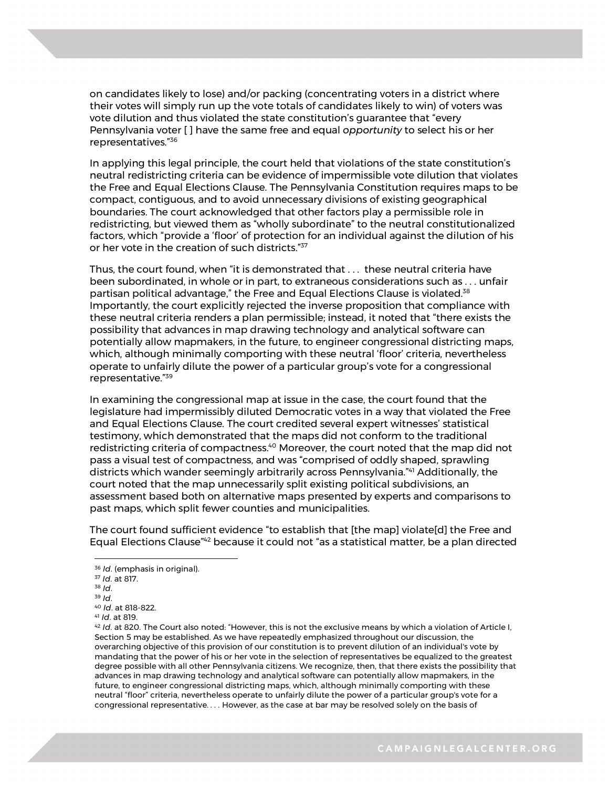on candidates likely to lose) and/or packing (concentrating voters in a district where their votes will simply run up the vote totals of candidates likely to win) of voters was vote dilution and thus violated the state constitution's guarantee that "every Pennsylvania voter [ ] have the same free and equal *opportunity* to select his or her representatives."36

In applying this legal principle, the court held that violations of the state constitution's neutral redistricting criteria can be evidence of impermissible vote dilution that violates the Free and Equal Elections Clause. The Pennsylvania Constitution requires maps to be compact, contiguous, and to avoid unnecessary divisions of existing geographical boundaries. The court acknowledged that other factors play a permissible role in redistricting, but viewed them as "wholly subordinate" to the neutral constitutionalized factors, which "provide a 'floor' of protection for an individual against the dilution of his or her vote in the creation of such districts."<sup>37</sup>

Thus, the court found, when "it is demonstrated that . . . these neutral criteria have been subordinated, in whole or in part, to extraneous considerations such as . . . unfair partisan political advantage," the Free and Equal Elections Clause is violated.<sup>38</sup> Importantly, the court explicitly rejected the inverse proposition that compliance with these neutral criteria renders a plan permissible; instead, it noted that "there exists the possibility that advances in map drawing technology and analytical software can potentially allow mapmakers, in the future, to engineer congressional districting maps, which, although minimally comporting with these neutral 'floor' criteria, nevertheless operate to unfairly dilute the power of a particular group's vote for a congressional representative."39

In examining the congressional map at issue in the case, the court found that the legislature had impermissibly diluted Democratic votes in a way that violated the Free and Equal Elections Clause. The court credited several expert witnesses' statistical testimony, which demonstrated that the maps did not conform to the traditional redistricting criteria of compactness.<sup>40</sup> Moreover, the court noted that the map did not pass a visual test of compactness, and was "comprised of oddly shaped, sprawling districts which wander seemingly arbitrarily across Pennsylvania."41 Additionally, the court noted that the map unnecessarily split existing political subdivisions, an assessment based both on alternative maps presented by experts and comparisons to past maps, which split fewer counties and municipalities.

The court found sufficient evidence "to establish that [the map] violate[d] the Free and Equal Elections Clause<sup>"42</sup> because it could not "as a statistical matter, be a plan directed

<sup>36</sup> *Id*. (emphasis in original).

<sup>37</sup> *Id*. at 817.

<sup>38</sup> *Id*.

<sup>39</sup> *Id*. 40 *Id*. at 818-822. <sup>41</sup> *Id*. at 819.

future, to engineer congressional districting maps, which, although minimally comporting with these <sup>42</sup> *Id*. at 820. The Court also noted: "However, this is not the exclusive means by which a violation of Article I, Section 5 may be established. As we have repeatedly emphasized throughout our discussion, the overarching objective of this provision of our constitution is to prevent dilution of an individual's vote by mandating that the power of his or her vote in the selection of representatives be equalized to the greatest degree possible with all other Pennsylvania citizens. We recognize, then, that there exists the possibility that advances in map drawing technology and analytical software can potentially allow mapmakers, in the neutral "floor" criteria, nevertheless operate to unfairly dilute the power of a particular group's vote for a congressional representative. *. . .* However, as the case at bar may be resolved solely on the basis of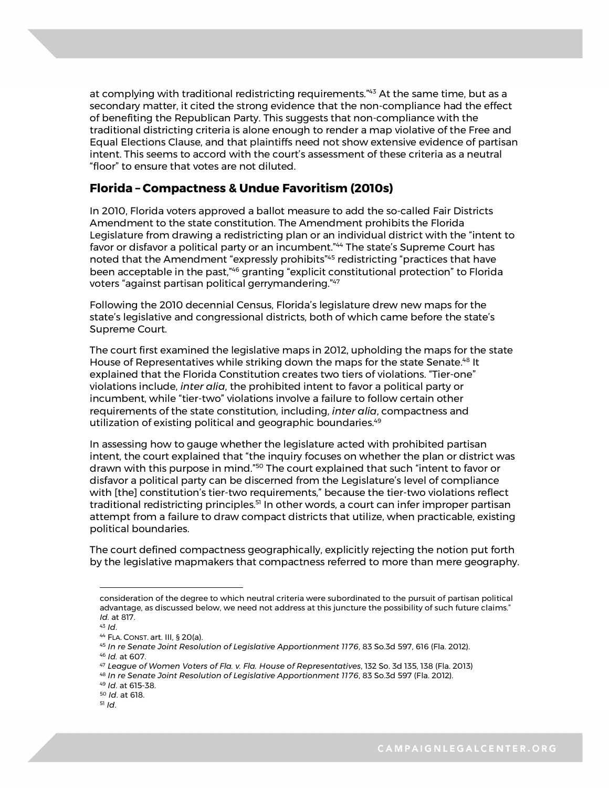at complying with traditional redistricting requirements."<sup>43</sup> At the same time, but as a secondary matter, it cited the strong evidence that the non-compliance had the effect of benefiting the Republican Party. This suggests that non-compliance with the traditional districting criteria is alone enough to render a map violative of the Free and Equal Elections Clause, and that plaintiffs need not show extensive evidence of partisan intent. This seems to accord with the court's assessment of these criteria as a neutral "floor" to ensure that votes are not diluted.

### **Florida – Compactness & Undue Favoritism (2010s)**

In 2010, Florida voters approved a ballot measure to add the so-called Fair Districts Amendment to the state constitution. The Amendment prohibits the Florida Legislature from drawing a redistricting plan or an individual district with the "intent to favor or disfavor a political party or an incumbent."<sup>44</sup> The state's Supreme Court has noted that the Amendment "expressly prohibits"45 redistricting "practices that have been acceptable in the past,"46 granting "explicit constitutional protection" to Florida voters "against partisan political gerrymandering."47

Following the 2010 decennial Census, Florida's legislature drew new maps for the state's legislative and congressional districts, both of which came before the state's Supreme Court.

The court first examined the legislative maps in 2012, upholding the maps for the state House of Representatives while striking down the maps for the state Senate.<sup>48</sup> It explained that the Florida Constitution creates two tiers of violations. "Tier-one" violations include, *inter alia*, the prohibited intent to favor a political party or incumbent, while "tier-two" violations involve a failure to follow certain other requirements of the state constitution, including, *inter alia*, compactness and utilization of existing political and geographic boundaries.<sup>49</sup>

In assessing how to gauge whether the legislature acted with prohibited partisan intent, the court explained that "the inquiry focuses on whether the plan or district was drawn with this purpose in mind."50 The court explained that such "intent to favor or disfavor a political party can be discerned from the Legislature's level of compliance with [the] constitution's tier-two requirements," because the tier-two violations reflect traditional redistricting principles.<sup>51</sup> In other words, a court can infer improper partisan attempt from a failure to draw compact districts that utilize, when practicable, existing political boundaries.

The court defined compactness geographically, explicitly rejecting the notion put forth by the legislative mapmakers that compactness referred to more than mere geography.

consideration of the degree to which neutral criteria were subordinated to the pursuit of partisan political advantage, as discussed below, we need not address at this juncture the possibility of such future claims." *Id.* at 817.

<sup>43</sup> *Id*.

<sup>44</sup> FLA. CONST. art. III, § 20(a).

<sup>45</sup> *In re Senate Joint Resolution of Legislative Apportionment 1176*, 83 So.3d 597, 616 (Fla. 2012). <sup>46</sup> *Id.* at 607.

<sup>47</sup> *League of Women Voters of Fla. v. Fla. House of Representatives*, 132 So. 3d 135, 138 (Fla. 2013)

<sup>48</sup> *In re Senate Joint Resolution of Legislative Apportionment 1176*, 83 So.3d 597 (Fla. 2012).

<sup>10</sup> <sup>49</sup> *Id*. at 615-38.

<sup>50</sup> *Id*. at 618.

<sup>51</sup> *Id*.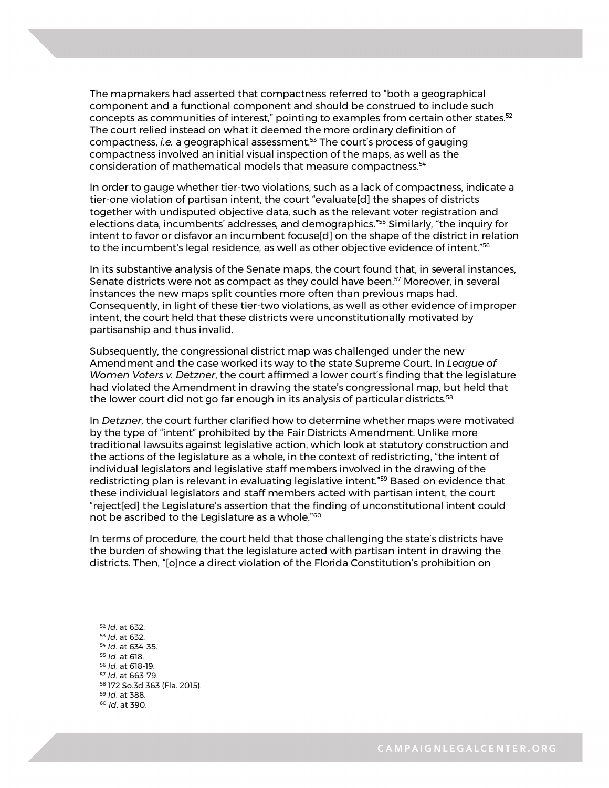The mapmakers had asserted that compactness referred to "both a geographical component and a functional component and should be construed to include such concepts as communities of interest," pointing to examples from certain other states.<sup>52</sup> The court relied instead on what it deemed the more ordinary definition of compactness, *i.e.* a geographical assessment.53 The court's process of gauging compactness involved an initial visual inspection of the maps, as well as the consideration of mathematical models that measure compactness.<sup>54</sup>

In order to gauge whether tier-two violations, such as a lack of compactness, indicate a tier-one violation of partisan intent, the court "evaluate[d] the shapes of districts together with undisputed objective data, such as the relevant voter registration and elections data, incumbents' addresses, and demographics."55 Similarly, "the inquiry for intent to favor or disfavor an incumbent focuse[d] on the shape of the district in relation to the incumbent's legal residence, as well as other objective evidence of intent."56

In its substantive analysis of the Senate maps, the court found that, in several instances, Senate districts were not as compact as they could have been.<sup>57</sup> Moreover, in several instances the new maps split counties more often than previous maps had. Consequently, in light of these tier-two violations, as well as other evidence of improper intent, the court held that these districts were unconstitutionally motivated by partisanship and thus invalid.

Subsequently, the congressional district map was challenged under the new Amendment and the case worked its way to the state Supreme Court. In *League of Women Voters v. Detzner*, the court affirmed a lower court's finding that the legislature had violated the Amendment in drawing the state's congressional map, but held that the lower court did not go far enough in its analysis of particular districts.<sup>58</sup>

In *Detzner*, the court further clarified how to determine whether maps were motivated by the type of "intent" prohibited by the Fair Districts Amendment. Unlike more traditional lawsuits against legislative action, which look at statutory construction and the actions of the legislature as a whole, in the context of redistricting, "the intent of individual legislators and legislative staff members involved in the drawing of the redistricting plan is relevant in evaluating legislative intent."59 Based on evidence that these individual legislators and staff members acted with partisan intent, the court "reject[ed] the Legislature's assertion that the finding of unconstitutional intent could not be ascribed to the Legislature as a whole."60

In terms of procedure, the court held that those challenging the state's districts have the burden of showing that the legislature acted with partisan intent in drawing the districts. Then, "[o]nce a direct violation of the Florida Constitution's prohibition on

<sup>52</sup> *Id*. at 632. <sup>53</sup> *Id*. at 632.

<u>.</u>

- <sup>54</sup> *Id*. at 634-35.
- <sup>55</sup> *Id*. at 618.
- <sup>56</sup> *Id*. at 618-19.
- <sup>57</sup> *Id*. at 663-79.
- <sup>58</sup> 172 So.3d 363 (Fla. 2015).
	- <sup>59</sup> *Id*. at 388. 60 *Id*. at 390.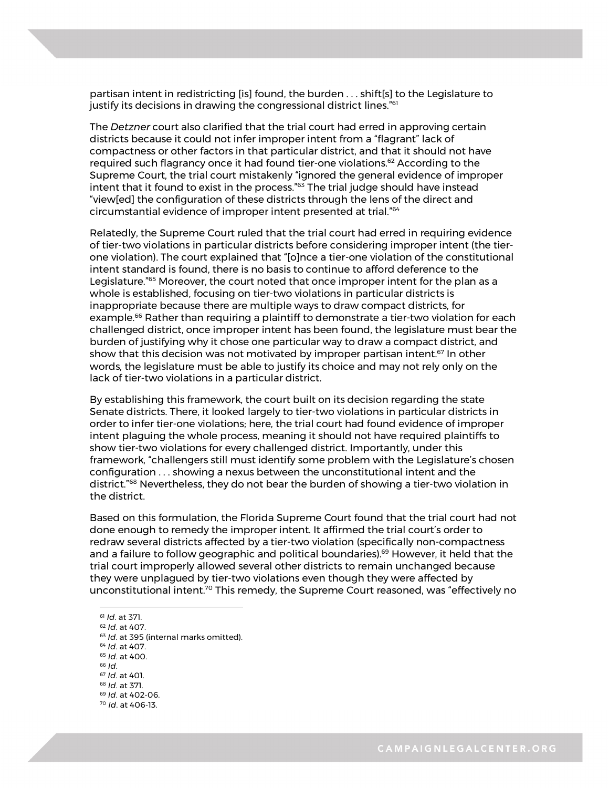partisan intent in redistricting [is] found, the burden . . . shift[s] to the Legislature to justify its decisions in drawing the congressional district lines."<sup>61</sup>

The *Detzner* court also clarified that the trial court had erred in approving certain districts because it could not infer improper intent from a "flagrant" lack of compactness or other factors in that particular district, and that it should not have required such flagrancy once it had found tier-one violations.62 According to the Supreme Court, the trial court mistakenly "ignored the general evidence of improper intent that it found to exist in the process."<sup>63</sup> The trial judge should have instead "view[ed] the configuration of these districts through the lens of the direct and circumstantial evidence of improper intent presented at trial."64

Relatedly, the Supreme Court ruled that the trial court had erred in requiring evidence of tier-two violations in particular districts before considering improper intent (the tierone violation). The court explained that "[o]nce a tier-one violation of the constitutional intent standard is found, there is no basis to continue to afford deference to the Legislature.<sup>"65</sup> Moreover, the court noted that once improper intent for the plan as a whole is established, focusing on tier-two violations in particular districts is inappropriate because there are multiple ways to draw compact districts, for example.<sup>66</sup> Rather than requiring a plaintiff to demonstrate a tier-two violation for each challenged district, once improper intent has been found, the legislature must bear the burden of justifying why it chose one particular way to draw a compact district, and show that this decision was not motivated by improper partisan intent.<sup>67</sup> In other words, the legislature must be able to justify its choice and may not rely only on the lack of tier-two violations in a particular district.

By establishing this framework, the court built on its decision regarding the state Senate districts. There, it looked largely to tier-two violations in particular districts in order to infer tier-one violations; here, the trial court had found evidence of improper intent plaguing the whole process, meaning it should not have required plaintiffs to show tier-two violations for every challenged district. Importantly, under this framework, "challengers still must identify some problem with the Legislature's chosen configuration . . . showing a nexus between the unconstitutional intent and the district."68 Nevertheless, they do not bear the burden of showing a tier-two violation in the district.

Based on this formulation, the Florida Supreme Court found that the trial court had not done enough to remedy the improper intent. It affirmed the trial court's order to redraw several districts affected by a tier-two violation (specifically non-compactness and a failure to follow geographic and political boundaries).<sup>69</sup> However, it held that the trial court improperly allowed several other districts to remain unchanged because they were unplagued by tier-two violations even though they were affected by unconstitutional intent.70 This remedy, the Supreme Court reasoned, was "effectively no

<sup>61</sup> *Id*. at 371.

<sup>12</sup> <sup>68</sup> *Id*. at 371. <sup>62</sup> *Id*. at 407. <sup>63</sup> *Id.* at 395 (internal marks omitted). <sup>64</sup> *Id*. at 407. <sup>65</sup> *Id*. at 400. <sup>66</sup> *Id*. <sup>67</sup> *Id*. at 401. <sup>69</sup> *Id*. at 402-06. <sup>70</sup> *Id*. at 406-13.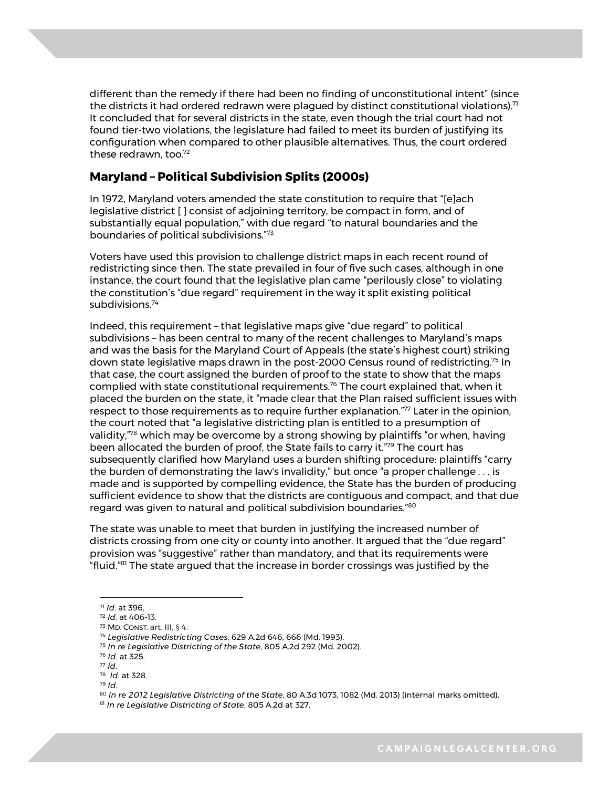different than the remedy if there had been no finding of unconstitutional intent" (since the districts it had ordered redrawn were plagued by distinct constitutional violations). $71$ It concluded that for several districts in the state, even though the trial court had not found tier-two violations, the legislature had failed to meet its burden of justifying its configuration when compared to other plausible alternatives. Thus, the court ordered these redrawn, too. 72

### **Maryland – Political Subdivision Splits (2000s)**

In 1972, Maryland voters amended the state constitution to require that "[e]ach legislative district [ ] consist of adjoining territory, be compact in form, and of substantially equal population," with due regard "to natural boundaries and the boundaries of political subdivisions."73

Voters have used this provision to challenge district maps in each recent round of redistricting since then. The state prevailed in four of five such cases, although in one instance, the court found that the legislative plan came "perilously close" to violating the constitution's "due regard" requirement in the way it split existing political subdivisions.74

Indeed, this requirement – that legislative maps give "due regard" to political subdivisions – has been central to many of the recent challenges to Maryland's maps and was the basis for the Maryland Court of Appeals (the state's highest court) striking down state legislative maps drawn in the post-2000 Census round of redistricting.75 In that case, the court assigned the burden of proof to the state to show that the maps complied with state constitutional requirements.<sup>76</sup> The court explained that, when it placed the burden on the state, it "made clear that the Plan raised sufficient issues with respect to those requirements as to require further explanation."<sup>77</sup> Later in the opinion, the court noted that "a legislative districting plan is entitled to a presumption of validity, $\frac{7}{8}$  which may be overcome by a strong showing by plaintiffs "or when, having been allocated the burden of proof, the State fails to carry it."79 The court has subsequently clarified how Maryland uses a burden shifting procedure: plaintiffs "carry the burden of demonstrating the law's invalidity," but once "a proper challenge . . . is made and is supported by compelling evidence, the State has the burden of producing sufficient evidence to show that the districts are contiguous and compact, and that due regard was given to natural and political subdivision boundaries."80

The state was unable to meet that burden in justifying the increased number of districts crossing from one city or county into another. It argued that the "due regard" provision was "suggestive" rather than mandatory, and that its requirements were "fluid."<sup>81</sup> The state argued that the increase in border crossings was justified by the

<u>.</u>

<sup>71</sup> *Id*. at 396.

<sup>72</sup> *Id*. at 406-13.

<sup>73</sup> MD. CONST. art. III, § 4.

<sup>74</sup> *Legislative Redistricting Cases*, 629 A.2d 646, 666 (Md. 1993).

<sup>75</sup> *In re Legislative Districting of the State*, 805 A.2d 292 (Md. 2002).

<sup>76</sup> *Id*. at 325.

<sup>77</sup> *Id*.

<sup>78</sup> *Id*. at 328.

<sup>13</sup> <sup>79</sup> *Id*.

<sup>80</sup> *In re 2012 Legislative Districting of the State*, 80 A.3d 1073, 1082 (Md. 2013) (internal marks omitted).<br><sup>81</sup> *In re Legislative Districting of State*, 805 A.2d at 327.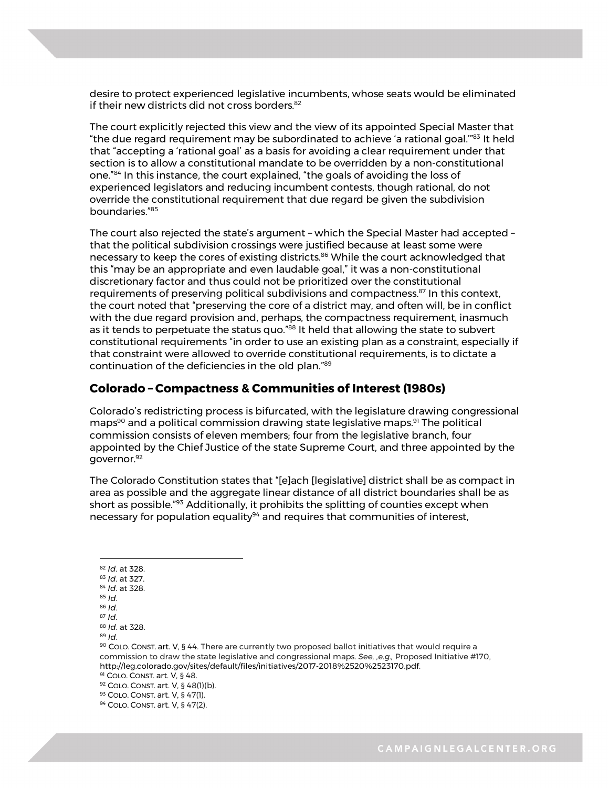desire to protect experienced legislative incumbents, whose seats would be eliminated if their new districts did not cross borders.<sup>82</sup>

The court explicitly rejected this view and the view of its appointed Special Master that "the due regard requirement may be subordinated to achieve 'a rational goal.'"83 It held that "accepting a 'rational goal' as a basis for avoiding a clear requirement under that section is to allow a constitutional mandate to be overridden by a non-constitutional one."84 In this instance, the court explained, "the goals of avoiding the loss of experienced legislators and reducing incumbent contests, though rational, do not override the constitutional requirement that due regard be given the subdivision boundaries."85

The court also rejected the state's argument – which the Special Master had accepted – that the political subdivision crossings were justified because at least some were necessary to keep the cores of existing districts.<sup>86</sup> While the court acknowledged that this "may be an appropriate and even laudable goal," it was a non-constitutional discretionary factor and thus could not be prioritized over the constitutional requirements of preserving political subdivisions and compactness.<sup>87</sup> In this context, the court noted that "preserving the core of a district may, and often will, be in conflict with the due regard provision and, perhaps, the compactness requirement, inasmuch as it tends to perpetuate the status quo."88 It held that allowing the state to subvert constitutional requirements "in order to use an existing plan as a constraint, especially if that constraint were allowed to override constitutional requirements, is to dictate a continuation of the deficiencies in the old plan."89

### **Colorado – Compactness & Communities of Interest (1980s)**

Colorado's redistricting process is bifurcated, with the legislature drawing congressional maps<sup>90</sup> and a political commission drawing state legislative maps.<sup>91</sup> The political commission consists of eleven members; four from the legislative branch, four appointed by the Chief Justice of the state Supreme Court, and three appointed by the governor.92

The Colorado Constitution states that "[e]ach [legislative] district shall be as compact in area as possible and the aggregate linear distance of all district boundaries shall be as short as possible."<sup>93</sup> Additionally, it prohibits the splitting of counties except when necessary for population equality $94$  and requires that communities of interest,

- 1 <sup>82</sup> *Id*. at 328.
- <sup>83</sup> *Id*. at 327.

- <sup>86</sup> *Id*.
- <sup>87</sup> *Id*.

<sup>89</sup> *Id*.

<sup>84</sup> *Id*. at 328. <sup>85</sup> *Id*.

<sup>88</sup> *Id*. at 328.

<sup>90</sup> COLO. CONST. art. V, § 44. There are currently two proposed ballot initiatives that would require a commission to draw the state legislative and congressional maps. *See, ,e.g.,* Proposed Initiative #170, http://leg.colorado.gov/sites/default/files/initiatives/2017-2018%2520%2523170.pdf.

<sup>91</sup> COLO. CONST. art. V, § 48.

<sup>92</sup> COLO. CONST. art. V, § 48(1)(b).

<sup>93</sup> COLO. CONST. art. V, § 47(1).

<sup>94</sup> COLO. CONST. art. V, § 47(2).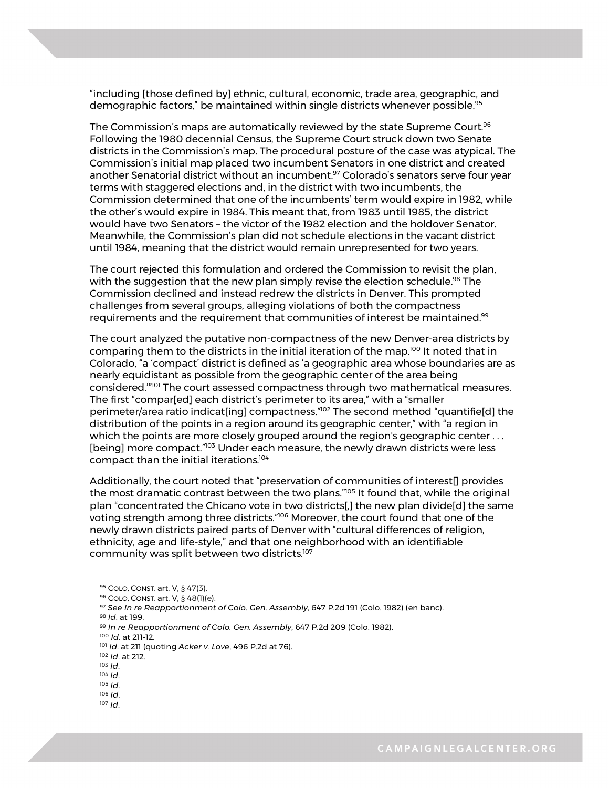"including [those defined by] ethnic, cultural, economic, trade area, geographic, and demographic factors," be maintained within single districts whenever possible.<sup>95</sup>

The Commission's maps are automatically reviewed by the state Supreme Court. $96$ Following the 1980 decennial Census, the Supreme Court struck down two Senate districts in the Commission's map. The procedural posture of the case was atypical. The Commission's initial map placed two incumbent Senators in one district and created another Senatorial district without an incumbent.<sup>97</sup> Colorado's senators serve four year terms with staggered elections and, in the district with two incumbents, the Commission determined that one of the incumbents' term would expire in 1982, while the other's would expire in 1984. This meant that, from 1983 until 1985, the district would have two Senators – the victor of the 1982 election and the holdover Senator. Meanwhile, the Commission's plan did not schedule elections in the vacant district until 1984, meaning that the district would remain unrepresented for two years.

The court rejected this formulation and ordered the Commission to revisit the plan, with the suggestion that the new plan simply revise the election schedule.<sup>98</sup> The Commission declined and instead redrew the districts in Denver. This prompted challenges from several groups, alleging violations of both the compactness requirements and the requirement that communities of interest be maintained.<sup>99</sup>

The court analyzed the putative non-compactness of the new Denver-area districts by comparing them to the districts in the initial iteration of the map.100 It noted that in Colorado, "a 'compact' district is defined as 'a geographic area whose boundaries are as nearly equidistant as possible from the geographic center of the area being considered.'"101 The court assessed compactness through two mathematical measures. The first "compar[ed] each district's perimeter to its area," with a "smaller perimeter/area ratio indicat[ing] compactness."<sup>102</sup> The second method "quantifie[d] the distribution of the points in a region around its geographic center," with "a region in which the points are more closely grouped around the region's geographic center . . . [being] more compact."<sup>103</sup> Under each measure, the newly drawn districts were less compact than the initial iterations.104

Additionally, the court noted that "preservation of communities of interest[] provides the most dramatic contrast between the two plans."<sup>105</sup> It found that, while the original plan "concentrated the Chicano vote in two districts[,] the new plan divide[d] the same voting strength among three districts."106 Moreover, the court found that one of the newly drawn districts paired parts of Denver with "cultural differences of religion, ethnicity, age and life-style," and that one neighborhood with an identifiable community was split between two districts.107

1

<sup>107</sup> *Id*.

<sup>95</sup> COLO. CONST. art. V, § 47(3).

<sup>96</sup> COLO. CONST. art. V, § 48(1)(e).

<sup>97</sup> *See In re Reapportionment of Colo. Gen. Assembly*, 647 P.2d 191 (Colo. 1982) (en banc). <sup>98</sup> *Id*. at 199.

<sup>99</sup> *In re Reapportionment of Colo. Gen. Assembly*, 647 P.2d 209 (Colo. 1982).

<sup>100</sup> *Id*. at 211-12.

<sup>101</sup> *Id*. at 211 (quoting *Acker v. Love*, 496 P.2d at 76).

<sup>102</sup> *Id*. at 212.

<sup>103</sup> *Id*.

<sup>104</sup> *Id*.

<sup>15</sup> <sup>105</sup> *Id*. <sup>106</sup> *Id*.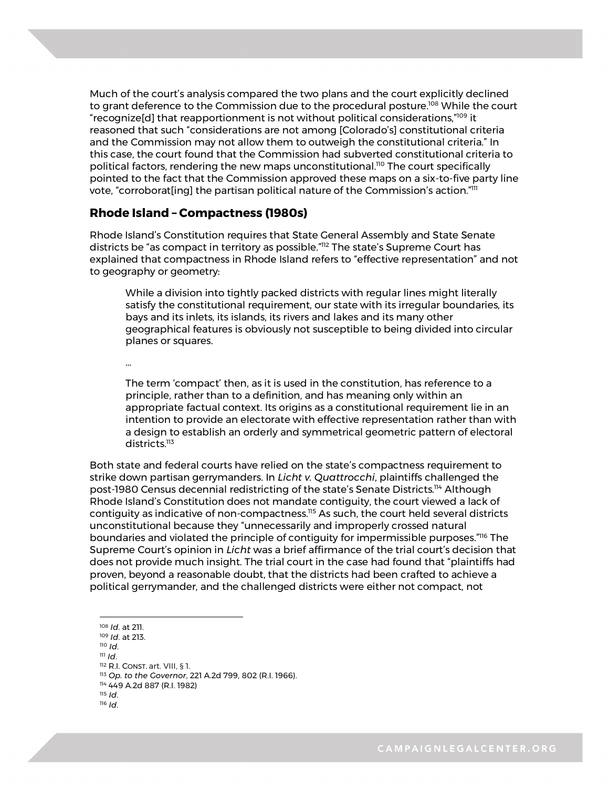Much of the court's analysis compared the two plans and the court explicitly declined to grant deference to the Commission due to the procedural posture.<sup>108</sup> While the court "recognize[d] that reapportionment is not without political considerations,"109 it reasoned that such "considerations are not among [Colorado's] constitutional criteria and the Commission may not allow them to outweigh the constitutional criteria." In this case, the court found that the Commission had subverted constitutional criteria to political factors, rendering the new maps unconstitutional.<sup>110</sup> The court specifically pointed to the fact that the Commission approved these maps on a six-to-five party line vote, "corroborat[ing] the partisan political nature of the Commission's action."111

#### **Rhode Island – Compactness (1980s)**

Rhode Island's Constitution requires that State General Assembly and State Senate districts be "as compact in territory as possible."112 The state's Supreme Court has explained that compactness in Rhode Island refers to "effective representation" and not to geography or geometry:

While a division into tightly packed districts with regular lines might literally satisfy the constitutional requirement, our state with its irregular boundaries, its bays and its inlets, its islands, its rivers and lakes and its many other geographical features is obviously not susceptible to being divided into circular planes or squares.

…

The term 'compact' then, as it is used in the constitution, has reference to a principle, rather than to a definition, and has meaning only within an appropriate factual context. Its origins as a constitutional requirement lie in an intention to provide an electorate with effective representation rather than with a design to establish an orderly and symmetrical geometric pattern of electoral districts.<sup>113</sup>

Both state and federal courts have relied on the state's compactness requirement to strike down partisan gerrymanders. In *Licht v. Quattrocchi*, plaintiffs challenged the post-1980 Census decennial redistricting of the state's Senate Districts.<sup>114</sup> Although Rhode Island's Constitution does not mandate contiguity, the court viewed a lack of contiguity as indicative of non-compactness.115 As such, the court held several districts unconstitutional because they "unnecessarily and improperly crossed natural boundaries and violated the principle of contiguity for impermissible purposes."116 The Supreme Court's opinion in *Licht* was a brief affirmance of the trial court's decision that does not provide much insight. The trial court in the case had found that "plaintiffs had proven, beyond a reasonable doubt, that the districts had been crafted to achieve a political gerrymander, and the challenged districts were either not compact, not

- <sup>110</sup> *Id*.
- <sup>111</sup> *Id*.
- <sup>112</sup> R.I. CONST. art. VIII, § 1.

<sup>115</sup> *Id*.

<sup>&</sup>lt;u>.</u> <sup>108</sup> *Id*. at 211.

<sup>109</sup> *Id*. at 213.

<sup>16</sup> <sup>114</sup> 449 A.2d 887 (R.I. 1982) <sup>113</sup> *Op. to the Governor*, 221 A.2d 799, 802 (R.I. 1966).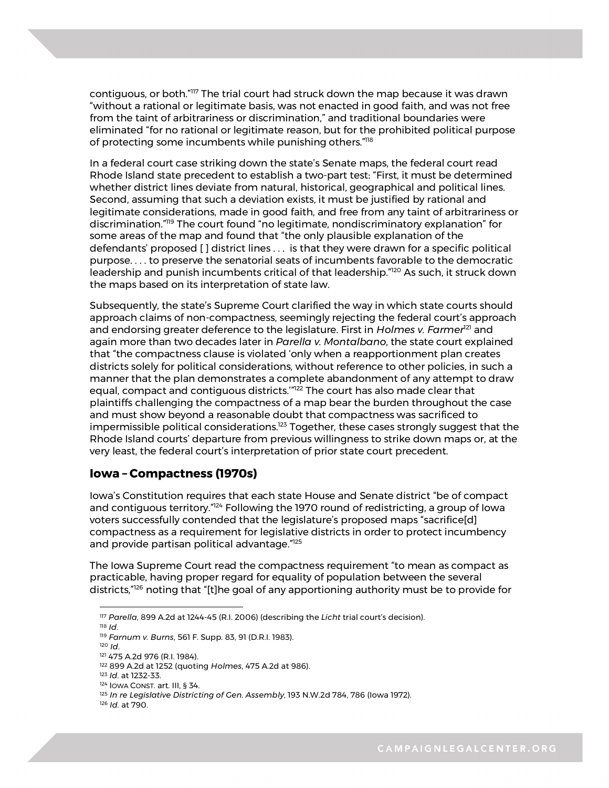contiguous, or both."117 The trial court had struck down the map because it was drawn "without a rational or legitimate basis, was not enacted in good faith, and was not free from the taint of arbitrariness or discrimination," and traditional boundaries were eliminated "for no rational or legitimate reason, but for the prohibited political purpose of protecting some incumbents while punishing others."<sup>118</sup>

In a federal court case striking down the state's Senate maps, the federal court read Rhode Island state precedent to establish a two-part test: "First, it must be determined whether district lines deviate from natural, historical, geographical and political lines. Second, assuming that such a deviation exists, it must be justified by rational and legitimate considerations, made in good faith, and free from any taint of arbitrariness or discrimination."119 The court found "no legitimate, nondiscriminatory explanation" for some areas of the map and found that "the only plausible explanation of the defendants' proposed [ ] district lines . . . is that they were drawn for a specific political purpose. . . . to preserve the senatorial seats of incumbents favorable to the democratic leadership and punish incumbents critical of that leadership."120 As such, it struck down the maps based on its interpretation of state law.

Subsequently, the state's Supreme Court clarified the way in which state courts should approach claims of non-compactness, seemingly rejecting the federal court's approach and endorsing greater deference to the legislature. First in *Holmes v. Farmer<sup>121</sup>* and again more than two decades later in *Parella v. Montalbano*, the state court explained that "the compactness clause is violated 'only when a reapportionment plan creates districts solely for political considerations, without reference to other policies, in such a manner that the plan demonstrates a complete abandonment of any attempt to draw equal, compact and contiguous districts.'"122 The court has also made clear that plaintiffs challenging the compactness of a map bear the burden throughout the case and must show beyond a reasonable doubt that compactness was sacrificed to impermissible political considerations.<sup>123</sup> Together, these cases strongly suggest that the Rhode Island courts' departure from previous willingness to strike down maps or, at the very least, the federal court's interpretation of prior state court precedent.

#### **Iowa – Compactness (1970s)**

Iowa's Constitution requires that each state House and Senate district "be of compact and contiguous territory."<sup>124</sup> Following the 1970 round of redistricting, a group of lowa voters successfully contended that the legislature's proposed maps "sacrifice[d] compactness as a requirement for legislative districts in order to protect incumbency and provide partisan political advantage."<sup>125</sup>

The Iowa Supreme Court read the compactness requirement "to mean as compact as practicable, having proper regard for equality of population between the several districts,"126 noting that "[t]he goal of any apportioning authority must be to provide for

<sup>117</sup> *Parella*, 899 A.2d at 1244-45 (R.I. 2006) (describing the *Licht* trial court's decision).

<sup>118</sup> *Id*. 119 *Farnum v. Burns*, 561 F. Supp. 83, 91 (D.R.I. 1983).

<sup>120</sup> *Id*.

<sup>121</sup> 475 A.2d 976 (R.I. 1984).

<sup>122</sup> 899 A.2d at 1252 (quoting *Holmes*, 475 A.2d at 986).

<sup>123</sup> *Id*. at 1232-33.

<sup>124</sup> IOWA CONST. art. III, § 34.

<sup>125</sup> In re Legislative Districting of Gen. Assembly, 193 N.W.2d 784, 786 (Iowa 1972).

<sup>126</sup> *Id.* at 790.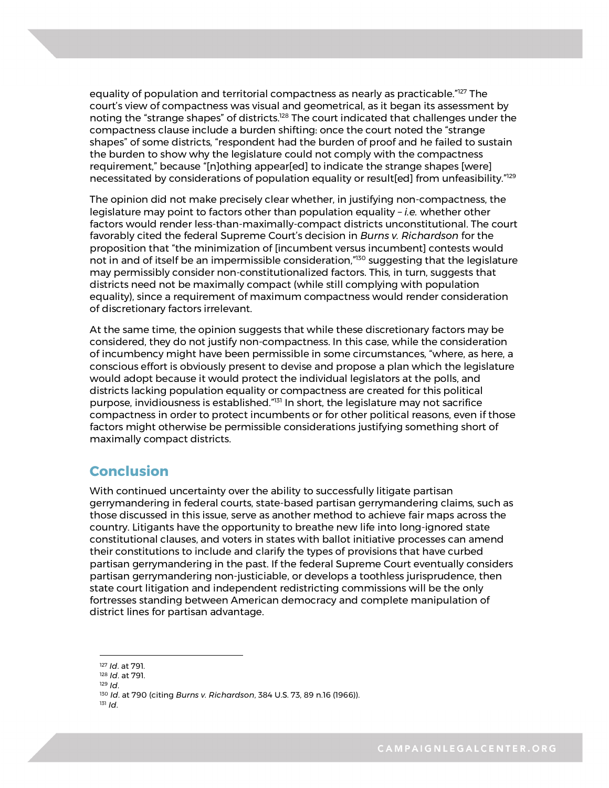equality of population and territorial compactness as nearly as practicable."<sup>127</sup> The court's view of compactness was visual and geometrical, as it began its assessment by noting the "strange shapes" of districts.<sup>128</sup> The court indicated that challenges under the compactness clause include a burden shifting: once the court noted the "strange shapes" of some districts, "respondent had the burden of proof and he failed to sustain the burden to show why the legislature could not comply with the compactness requirement," because "[n]othing appear[ed] to indicate the strange shapes [were] necessitated by considerations of population equality or result[ed] from unfeasibility."129

The opinion did not make precisely clear whether, in justifying non-compactness, the legislature may point to factors other than population equality – *i.e.* whether other factors would render less-than-maximally-compact districts unconstitutional. The court favorably cited the federal Supreme Court's decision in *Burns v. Richardson* for the proposition that "the minimization of [incumbent versus incumbent] contests would not in and of itself be an impermissible consideration,"<sup>30</sup> suggesting that the legislature may permissibly consider non-constitutionalized factors. This, in turn, suggests that districts need not be maximally compact (while still complying with population equality), since a requirement of maximum compactness would render consideration of discretionary factors irrelevant.

At the same time, the opinion suggests that while these discretionary factors may be considered, they do not justify non-compactness. In this case, while the consideration of incumbency might have been permissible in some circumstances, "where, as here, a conscious effort is obviously present to devise and propose a plan which the legislature would adopt because it would protect the individual legislators at the polls, and districts lacking population equality or compactness are created for this political purpose, invidiousness is established."131 In short, the legislature may not sacrifice compactness in order to protect incumbents or for other political reasons, even if those factors might otherwise be permissible considerations justifying something short of maximally compact districts.

### **Conclusion**

With continued uncertainty over the ability to successfully litigate partisan gerrymandering in federal courts, state-based partisan gerrymandering claims, such as those discussed in this issue, serve as another method to achieve fair maps across the country. Litigants have the opportunity to breathe new life into long-ignored state constitutional clauses, and voters in states with ballot initiative processes can amend their constitutions to include and clarify the types of provisions that have curbed partisan gerrymandering in the past. If the federal Supreme Court eventually considers partisan gerrymandering non-justiciable, or develops a toothless jurisprudence, then state court litigation and independent redistricting commissions will be the only fortresses standing between American democracy and complete manipulation of district lines for partisan advantage.

<sup>127</sup> *Id*. at 791.

<sup>18</sup> <sup>129</sup> *Id*. <sup>128</sup> *Id*. at 791.

<sup>130</sup> *Id*. at 790 (citing *Burns v. Richardson*, 384 U.S. 73, 89 n.16 (1966)). <sup>131</sup> *Id*.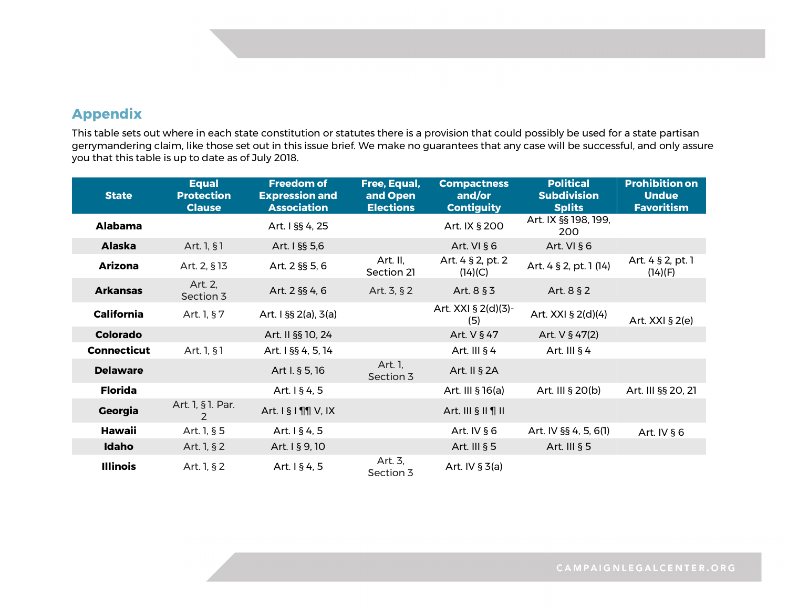## **Appendix**

This table sets out where in each state constitution or statutes there is a provision that could possibly be used for a state partisan gerrymandering claim, like those set out in this issue brief. We make no guarantees that any case will be successful, and only assure you that this table is up to date as of July 2018.

| <b>State</b>       | <b>Equal</b><br><b>Protection</b><br><b>Clause</b> | <b>Freedom of</b><br><b>Expression and</b><br><b>Association</b> | Free, Equal,<br>and Open<br><b>Elections</b> | <b>Compactness</b><br>and/or<br><b>Contiguity</b> | <b>Political</b><br><b>Subdivision</b><br><b>Splits</b> | <b>Prohibition on</b><br><b>Undue</b><br><b>Favoritism</b> |
|--------------------|----------------------------------------------------|------------------------------------------------------------------|----------------------------------------------|---------------------------------------------------|---------------------------------------------------------|------------------------------------------------------------|
| <b>Alabama</b>     |                                                    | Art. I §§ 4, 25                                                  |                                              | Art. IX § 200                                     | Art. IX §§ 198, 199,<br>200                             |                                                            |
| <b>Alaska</b>      | Art. 1, §1                                         | Art. I §§ 5,6                                                    |                                              | Art. VI § 6                                       | Art. VI § 6                                             |                                                            |
| <b>Arizona</b>     | Art. 2, §13                                        | Art. 2 §§ 5, 6                                                   | Art. II,<br>Section 21                       | Art. 4 § 2, pt. 2<br>(14)(C)                      | Art. 4 § 2, pt. 1 (14)                                  | Art. 4 § 2, pt. 1<br>(14)(F)                               |
| <b>Arkansas</b>    | Art. 2,<br>Section 3                               | Art. 2 §§ 4, 6                                                   | Art. 3, § 2                                  | Art. 8 § 3                                        | Art. 8 § 2                                              |                                                            |
| <b>California</b>  | Art. 1, §7                                         | Art. $1 \$ §§ 2(a), 3(a)                                         |                                              | Art. XXI § 2(d)(3)-<br>(5)                        | Art. XXI § 2(d)(4)                                      | Art. $XXI$ § 2(e)                                          |
| <b>Colorado</b>    |                                                    | Art. II §§ 10, 24                                                |                                              | Art. V § 47                                       | Art. V § 47(2)                                          |                                                            |
| <b>Connecticut</b> | Art. 1, §1                                         | Art. 1 §§ 4, 5, 14                                               |                                              | Art. III $§$ 4                                    | Art. III $§$ 4                                          |                                                            |
| <b>Delaware</b>    |                                                    | Art I. § 5, 16                                                   | Art. 1,<br>Section 3                         | Art. II § 2A                                      |                                                         |                                                            |
| <b>Florida</b>     |                                                    | Art. 1 § 4, 5                                                    |                                              | Art. III § 16(a)                                  | Art. III § 20(b)                                        | Art. III §§ 20, 21                                         |
| Georgia            | Art. 1, § 1. Par.<br>2                             | Art. 1 § 1 ¶   V, IX                                             |                                              | Art. III $\S$ II $\P$ II                          |                                                         |                                                            |
| <b>Hawaii</b>      | Art. 1, § 5                                        | Art. 1 § 4, 5                                                    |                                              | Art. IV § 6                                       | Art. IV §§ 4, 5, 6(1)                                   | Art. IV § 6                                                |
| Idaho              | Art. 1, § 2                                        | Art. 1 § 9, 10                                                   |                                              | Art. III $§ 5$                                    | Art. III $§ 5$                                          |                                                            |
| <b>Illinois</b>    | Art. 1, § 2                                        | Art. $1 \, \S \, 4, 5$                                           | Art. 3,<br>Section 3                         | Art. IV $\S 3(a)$                                 |                                                         |                                                            |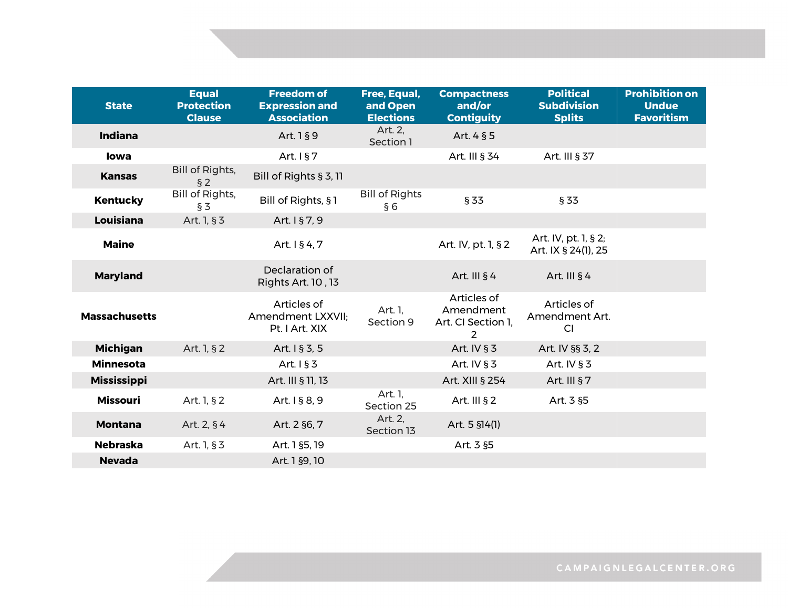| <b>State</b>         | <b>Equal</b><br><b>Protection</b><br><b>Clause</b> | <b>Freedom of</b><br><b>Expression and</b><br><b>Association</b> | Free, Equal,<br>and Open<br><b>Elections</b> | <b>Compactness</b><br>and/or<br><b>Contiguity</b>                | <b>Political</b><br><b>Subdivision</b><br><b>Splits</b> | <b>Prohibition on</b><br><b>Undue</b><br><b>Favoritism</b> |
|----------------------|----------------------------------------------------|------------------------------------------------------------------|----------------------------------------------|------------------------------------------------------------------|---------------------------------------------------------|------------------------------------------------------------|
| <b>Indiana</b>       |                                                    | Art. 1 § 9                                                       | Art. 2,<br>Section 1                         | Art. 4 § 5                                                       |                                                         |                                                            |
| lowa                 |                                                    | Art. $1§ 7$                                                      |                                              | Art. III § 34                                                    | Art. III § 37                                           |                                                            |
| <b>Kansas</b>        | Bill of Rights,<br>$§$ 2                           | Bill of Rights § 3, 11                                           |                                              |                                                                  |                                                         |                                                            |
| <b>Kentucky</b>      | <b>Bill of Rights,</b><br>$\S 3$                   | Bill of Rights, §1                                               | <b>Bill of Rights</b><br>§6                  | § 33                                                             | § 33                                                    |                                                            |
| Louisiana            | Art. 1, § 3                                        | Art. 1 § 7, 9                                                    |                                              |                                                                  |                                                         |                                                            |
| <b>Maine</b>         |                                                    | Art. 1 § 4, 7                                                    |                                              | Art. IV, pt. 1, § 2                                              | Art. IV, pt. 1, § 2;<br>Art. IX § 24(1), 25             |                                                            |
| <b>Maryland</b>      |                                                    | Declaration of<br>Rights Art. 10, 13                             |                                              | Art. III $§$ 4                                                   | Art. III $§$ 4                                          |                                                            |
| <b>Massachusetts</b> |                                                    | Articles of<br>Amendment LXXVII:<br>Pt. I Art. XIX               | Art. 1,<br>Section 9                         | Articles of<br>Amendment<br>Art. CI Section 1,<br>$\mathfrak{p}$ | Articles of<br>Amendment Art.<br>CI                     |                                                            |
| <b>Michigan</b>      | Art. 1, § 2                                        | Art. 1 § 3, 5                                                    |                                              | Art. IV § 3                                                      | Art. IV §§ 3, 2                                         |                                                            |
| <b>Minnesota</b>     |                                                    | Art. $1§ 3$                                                      |                                              | Art. IV $§ 3$                                                    | Art. IV $§ 3$                                           |                                                            |
| <b>Mississippi</b>   |                                                    | Art. III § 11, 13                                                |                                              | Art. XIII § 254                                                  | Art. III § 7                                            |                                                            |
| <b>Missouri</b>      | Art. 1, § 2                                        | Art. 1 § 8, 9                                                    | Art. 1,<br>Section 25                        | Art. III § 2                                                     | Art. 3 §5                                               |                                                            |
| <b>Montana</b>       | Art. 2, §4                                         | Art. 2 §6, 7                                                     | Art. 2,<br>Section 13                        | Art. 5 §14(1)                                                    |                                                         |                                                            |
| <b>Nebraska</b>      | Art. 1, § 3                                        | Art. 1 §5, 19                                                    |                                              | Art. 3 §5                                                        |                                                         |                                                            |
| <b>Nevada</b>        |                                                    | Art. 1 §9, 10                                                    |                                              |                                                                  |                                                         |                                                            |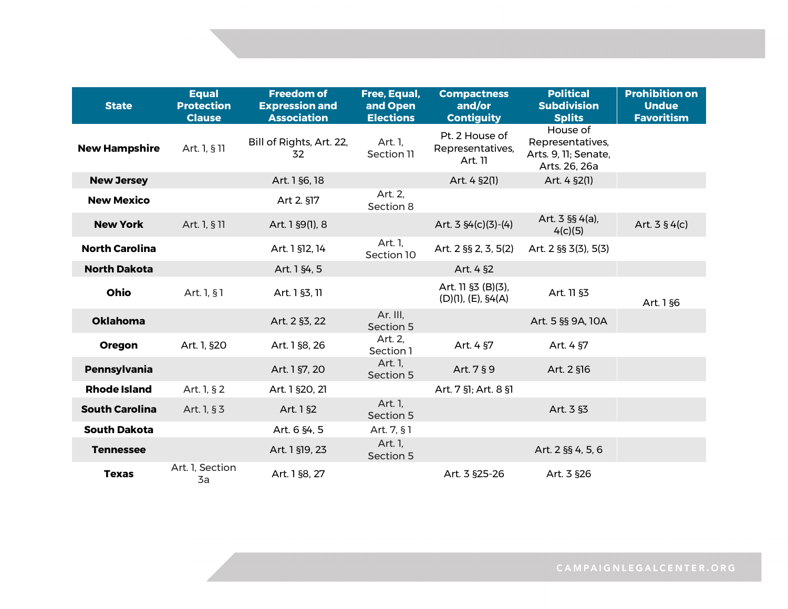| <b>State</b>          | <b>Equal</b><br><b>Protection</b><br><b>Clause</b> | <b>Freedom of</b><br><b>Expression and</b><br><b>Association</b> | Free, Equal,<br>and Open<br><b>Elections</b> | <b>Compactness</b><br>and/or<br><b>Contiguity</b> | <b>Political</b><br><b>Subdivision</b><br><b>Splits</b>               | <b>Prohibition on</b><br><b>Undue</b><br><b>Favoritism</b> |
|-----------------------|----------------------------------------------------|------------------------------------------------------------------|----------------------------------------------|---------------------------------------------------|-----------------------------------------------------------------------|------------------------------------------------------------|
| <b>New Hampshire</b>  | Art. 1, § 11                                       | Bill of Rights, Art. 22,<br>32                                   | Art. 1,<br>Section 11                        | Pt. 2 House of<br>Representatives,<br>Art. 11     | House of<br>Representatives,<br>Arts. 9, 11; Senate,<br>Arts. 26, 26a |                                                            |
| <b>New Jersey</b>     |                                                    | Art. 1 §6, 18                                                    |                                              | Art. 4 §2(1)                                      | Art. 4 §2(1)                                                          |                                                            |
| <b>New Mexico</b>     |                                                    | Art 2. §17                                                       | Art. 2,<br>Section 8                         |                                                   |                                                                       |                                                            |
| <b>New York</b>       | Art. 1, § 11                                       | Art. 1 §9(1), 8                                                  |                                              | Art. $3 \frac{64}{c}(3)-(4)$                      | Art. $3$ §§ 4(a),<br>4(c)(5)                                          | Art. $3 \frac{6}{4}$ (c)                                   |
| <b>North Carolina</b> |                                                    | Art. 1 §12, 14                                                   | Art. 1,<br>Section 10                        | Art. 2 §§ 2, 3, 5(2)                              | Art. 2 §§ 3(3), 5(3)                                                  |                                                            |
| <b>North Dakota</b>   |                                                    | Art. 1 §4, 5                                                     |                                              | Art. 4 §2                                         |                                                                       |                                                            |
| Ohio                  | Art. 1, § 1                                        | Art. 1 §3, 11                                                    |                                              | Art. 11 §3 (B)(3),<br>(D)(1), (E), \$4(A)         | Art. 11 §3                                                            | Art. 1 §6                                                  |
| <b>Oklahoma</b>       |                                                    | Art. 2 §3, 22                                                    | Ar. III,<br>Section 5                        |                                                   | Art. 5 §§ 9A, 10A                                                     |                                                            |
| Oregon                | Art. 1, §20                                        | Art. 1 §8, 26                                                    | Art. 2,<br>Section 1                         | Art. 4 §7                                         | Art. 4 §7                                                             |                                                            |
| <b>Pennsylvania</b>   |                                                    | Art. 1 §7, 20                                                    | Art. 1,<br>Section 5                         | Art. 7 § 9                                        | Art. 2 §16                                                            |                                                            |
| <b>Rhode Island</b>   | Art. 1, § 2                                        | Art. 1 §20, 21                                                   |                                              | Art. 7 §1; Art. 8 §1                              |                                                                       |                                                            |
| <b>South Carolina</b> | Art. 1, § 3                                        | Art. 1 §2                                                        | Art. 1,<br>Section 5                         |                                                   | Art. 3 §3                                                             |                                                            |
| <b>South Dakota</b>   |                                                    | Art. 6 §4, 5                                                     | Art. 7, § 1                                  |                                                   |                                                                       |                                                            |
| <b>Tennessee</b>      |                                                    | Art. 1 §19, 23                                                   | Art. 1,<br>Section 5                         |                                                   | Art. 2 §§ 4, 5, 6                                                     |                                                            |
| <b>Texas</b>          | Art. 1, Section<br>3a                              | Art. 1 §8, 27                                                    |                                              | Art. 3 §25-26                                     | Art. 3 §26                                                            |                                                            |